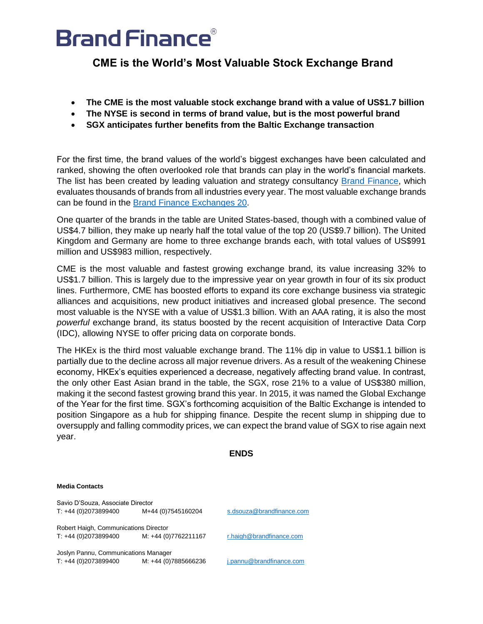## **Brand Finance®**

**CME is the World's Most Valuable Stock Exchange Brand**

- **The CME is the most valuable stock exchange brand with a value of US\$1.7 billion**
- **The NYSE is second in terms of brand value, but is the most powerful brand**
- **SGX anticipates further benefits from the Baltic Exchange transaction**

For the first time, the brand values of the world's biggest exchanges have been calculated and ranked, showing the often overlooked role that brands can play in the world's financial markets. The list has been created by leading valuation and strategy consultancy [Brand Finance,](http://www.brandfinance.com/) which evaluates thousands of brands from all industries every year. The most valuable exchange brands can be found in the [Brand Finance Exchanges 20.](http://brandirectory.com/league_tables/table/exchange-20-2016)

One quarter of the brands in the table are United States-based, though with a combined value of US\$4.7 billion, they make up nearly half the total value of the top 20 (US\$9.7 billion). The United Kingdom and Germany are home to three exchange brands each, with total values of US\$991 million and US\$983 million, respectively.

CME is the most valuable and fastest growing exchange brand, its value increasing 32% to US\$1.7 billion. This is largely due to the impressive year on year growth in four of its six product lines. Furthermore, CME has boosted efforts to expand its core exchange business via strategic alliances and acquisitions, new product initiatives and increased global presence. The second most valuable is the NYSE with a value of US\$1.3 billion. With an AAA rating, it is also the most *powerful* exchange brand, its status boosted by the recent acquisition of Interactive Data Corp (IDC), allowing NYSE to offer pricing data on corporate bonds.

The HKEx is the third most valuable exchange brand. The 11% dip in value to US\$1.1 billion is partially due to the decline across all major revenue drivers. As a result of the weakening Chinese economy, HKEx's equities experienced a decrease, negatively affecting brand value. In contrast, the only other East Asian brand in the table, the SGX, rose 21% to a value of US\$380 million, making it the second fastest growing brand this year. In 2015, it was named the Global Exchange of the Year for the first time. SGX's forthcoming acquisition of the Baltic Exchange is intended to position Singapore as a hub for shipping finance. Despite the recent slump in shipping due to oversupply and falling commodity prices, we can expect the brand value of SGX to rise again next year.

### **ENDS**

## **Media Contacts** Savio D'Souza, Associate Director T: +44 (0)2073899400 M+44 (0)7545160204 [s.dsouza@brandfinance.com](mailto:s.dsouza@brandfinance.com) Robert Haigh, Communications Director T: +44 (0)2073899400 M: +44 (0)7762211167 r.haigh@brandfinance.com Joslyn Pannu, Communications Manager T: +44 (0)2073899400 M: +44 (0)7885666236 [j.pannu@brandfinance.com](mailto:j.pannu@brandfinance.com)